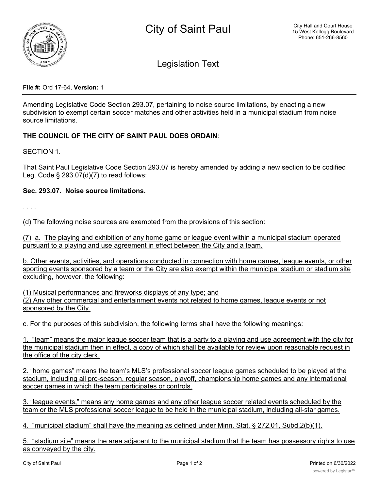

Legislation Text

**File #:** Ord 17-64, **Version:** 1

Amending Legislative Code Section 293.07, pertaining to noise source limitations, by enacting a new subdivision to exempt certain soccer matches and other activities held in a municipal stadium from noise source limitations.

## **THE COUNCIL OF THE CITY OF SAINT PAUL DOES ORDAIN**:

SECTION 1.

That Saint Paul Legislative Code Section 293.07 is hereby amended by adding a new section to be codified Leg. Code § 293.07(d)(7) to read follows:

## **Sec. 293.07. Noise source limitations.**

. . . .

(d) The following noise sources are exempted from the provisions of this section:

(7) a. The playing and exhibition of any home game or league event within a municipal stadium operated pursuant to a playing and use agreement in effect between the City and a team.

b. Other events, activities, and operations conducted in connection with home games, league events, or other sporting events sponsored by a team or the City are also exempt within the municipal stadium or stadium site excluding, however, the following:

(1) Musical performances and fireworks displays of any type; and (2) Any other commercial and entertainment events not related to home games, league events or not sponsored by the City.

c. For the purposes of this subdivision, the following terms shall have the following meanings:

1. "team" means the major league soccer team that is a party to a playing and use agreement with the city for the municipal stadium then in effect, a copy of which shall be available for review upon reasonable request in the office of the city clerk.

2. "home games" means the team's MLS's professional soccer league games scheduled to be played at the stadium, including all pre-season, regular season, playoff, championship home games and any international soccer games in which the team participates or controls.

3. "league events," means any home games and any other league soccer related events scheduled by the team or the MLS professional soccer league to be held in the municipal stadium, including all-star games.

4. "municipal stadium" shall have the meaning as defined under Minn. Stat. § 272.01, Subd.2(b)(1).

5. "stadium site" means the area adjacent to the municipal stadium that the team has possessory rights to use as conveyed by the city.